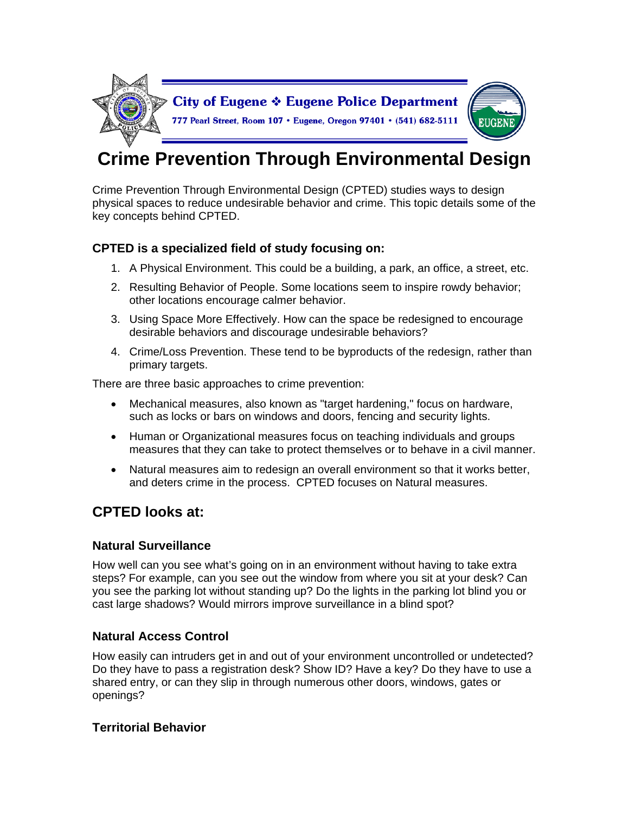

# **Crime Prevention Through Environmental Design**

Crime Prevention Through Environmental Design (CPTED) studies ways to design physical spaces to reduce undesirable behavior and crime. This topic details some of the key concepts behind CPTED.

# **CPTED is a specialized field of study focusing on:**

- 1. A Physical Environment. This could be a building, a park, an office, a street, etc.
- 2. Resulting Behavior of People. Some locations seem to inspire rowdy behavior; other locations encourage calmer behavior.
- 3. Using Space More Effectively. How can the space be redesigned to encourage desirable behaviors and discourage undesirable behaviors?
- 4. Crime/Loss Prevention. These tend to be byproducts of the redesign, rather than primary targets.

There are three basic approaches to crime prevention:

- Mechanical measures, also known as "target hardening," focus on hardware, such as locks or bars on windows and doors, fencing and security lights.
- Human or Organizational measures focus on teaching individuals and groups measures that they can take to protect themselves or to behave in a civil manner.
- Natural measures aim to redesign an overall environment so that it works better, and deters crime in the process. CPTED focuses on Natural measures.

# **CPTED looks at:**

#### **Natural Surveillance**

How well can you see what's going on in an environment without having to take extra steps? For example, can you see out the window from where you sit at your desk? Can you see the parking lot without standing up? Do the lights in the parking lot blind you or cast large shadows? Would mirrors improve surveillance in a blind spot?

# **Natural Access Control**

How easily can intruders get in and out of your environment uncontrolled or undetected? Do they have to pass a registration desk? Show ID? Have a key? Do they have to use a shared entry, or can they slip in through numerous other doors, windows, gates or openings?

# **Territorial Behavior**